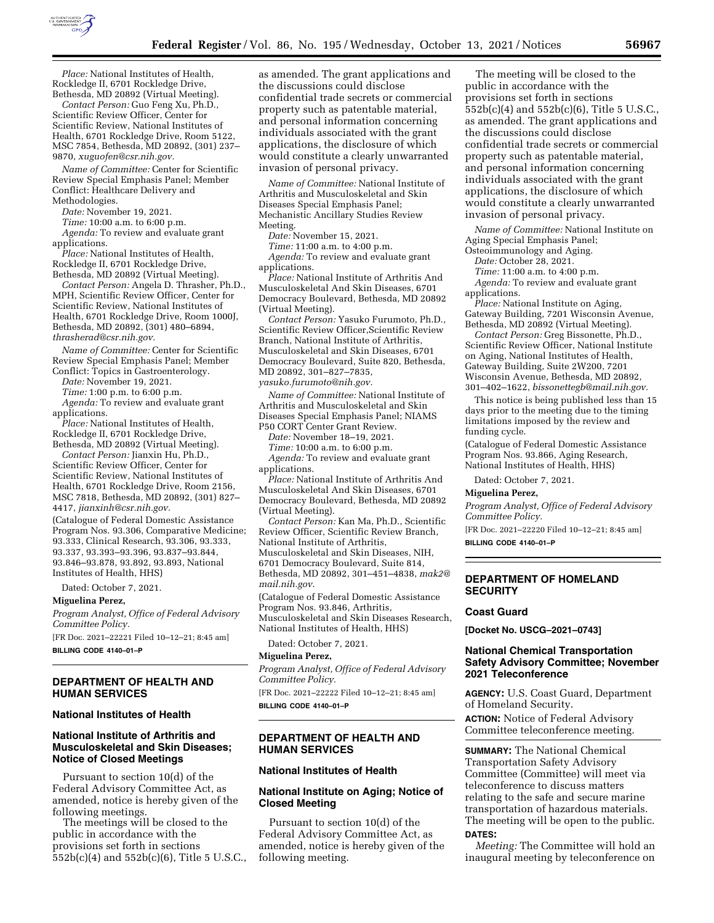

*Place:* National Institutes of Health, Rockledge II, 6701 Rockledge Drive, Bethesda, MD 20892 (Virtual Meeting).

*Contact Person:* Guo Feng Xu, Ph.D., Scientific Review Officer, Center for Scientific Review, National Institutes of Health, 6701 Rockledge Drive, Room 5122, MSC 7854, Bethesda, MD 20892, (301) 237– 9870, *[xuguofen@csr.nih.gov.](mailto:xuguofen@csr.nih.gov)* 

*Name of Committee:* Center for Scientific Review Special Emphasis Panel; Member Conflict: Healthcare Delivery and Methodologies.

*Date:* November 19, 2021.

*Time:* 10:00 a.m. to 6:00 p.m.

*Agenda:* To review and evaluate grant applications.

*Place:* National Institutes of Health, Rockledge II, 6701 Rockledge Drive, Bethesda, MD 20892 (Virtual Meeting).

*Contact Person:* Angela D. Thrasher, Ph.D., MPH, Scientific Review Officer, Center for Scientific Review, National Institutes of Health, 6701 Rockledge Drive, Room 1000J, Bethesda, MD 20892, (301) 480–6894, *[thrasherad@csr.nih.gov.](mailto:thrasherad@csr.nih.gov)* 

*Name of Committee:* Center for Scientific Review Special Emphasis Panel; Member Conflict: Topics in Gastroenterology.

*Date:* November 19, 2021.

*Time:* 1:00 p.m. to 6:00 p.m.

*Agenda:* To review and evaluate grant applications.

*Place:* National Institutes of Health, Rockledge II, 6701 Rockledge Drive, Bethesda, MD 20892 (Virtual Meeting).

*Contact Person:* Jianxin Hu, Ph.D., Scientific Review Officer, Center for Scientific Review, National Institutes of Health, 6701 Rockledge Drive, Room 2156, MSC 7818, Bethesda, MD 20892, (301) 827– 4417, *[jianxinh@csr.nih.gov.](mailto:jianxinh@csr.nih.gov)* 

(Catalogue of Federal Domestic Assistance Program Nos. 93.306, Comparative Medicine; 93.333, Clinical Research, 93.306, 93.333, 93.337, 93.393–93.396, 93.837–93.844, 93.846–93.878, 93.892, 93.893, National Institutes of Health, HHS)

Dated: October 7, 2021.

#### **Miguelina Perez,**

*Program Analyst, Office of Federal Advisory Committee Policy.* 

[FR Doc. 2021–22221 Filed 10–12–21; 8:45 am] **BILLING CODE 4140–01–P** 

#### **DEPARTMENT OF HEALTH AND HUMAN SERVICES**

#### **National Institutes of Health**

## **National Institute of Arthritis and Musculoskeletal and Skin Diseases; Notice of Closed Meetings**

Pursuant to section 10(d) of the Federal Advisory Committee Act, as amended, notice is hereby given of the following meetings.

The meetings will be closed to the public in accordance with the provisions set forth in sections 552b(c)(4) and 552b(c)(6), Title 5 U.S.C., as amended. The grant applications and the discussions could disclose confidential trade secrets or commercial property such as patentable material, and personal information concerning individuals associated with the grant applications, the disclosure of which would constitute a clearly unwarranted invasion of personal privacy.

*Name of Committee:* National Institute of Arthritis and Musculoskeletal and Skin Diseases Special Emphasis Panel; Mechanistic Ancillary Studies Review Meeting.

*Date:* November 15, 2021.

*Time:* 11:00 a.m. to 4:00 p.m. *Agenda:* To review and evaluate grant applications.

*Place:* National Institute of Arthritis And Musculoskeletal And Skin Diseases, 6701 Democracy Boulevard, Bethesda, MD 20892 (Virtual Meeting).

*Contact Person:* Yasuko Furumoto, Ph.D., Scientific Review Officer,Scientific Review Branch, National Institute of Arthritis, Musculoskeletal and Skin Diseases, 6701 Democracy Boulevard, Suite 820, Bethesda, MD 20892, 301–827–7835,

*[yasuko.furumoto@nih.gov.](mailto:yasuko.furumoto@nih.gov)* 

*Name of Committee:* National Institute of Arthritis and Musculoskeletal and Skin Diseases Special Emphasis Panel; NIAMS P50 CORT Center Grant Review.

*Date:* November 18–19, 2021.

*Time:* 10:00 a.m. to 6:00 p.m. *Agenda:* To review and evaluate grant applications.

*Place:* National Institute of Arthritis And Musculoskeletal And Skin Diseases, 6701 Democracy Boulevard, Bethesda, MD 20892 (Virtual Meeting).

*Contact Person:* Kan Ma, Ph.D., Scientific Review Officer, Scientific Review Branch, National Institute of Arthritis, Musculoskeletal and Skin Diseases, NIH, 6701 Democracy Boulevard, Suite 814, Bethesda, MD 20892, 301–451–4838, *[mak2@](mailto:mak2@mail.nih.gov) [mail.nih.gov](mailto:mak2@mail.nih.gov)*.

(Catalogue of Federal Domestic Assistance Program Nos. 93.846, Arthritis, Musculoskeletal and Skin Diseases Research, National Institutes of Health, HHS)

Dated: October 7, 2021.

#### **Miguelina Perez,**

*Program Analyst, Office of Federal Advisory Committee Policy.* 

[FR Doc. 2021–22222 Filed 10–12–21; 8:45 am] **BILLING CODE 4140–01–P** 

## **DEPARTMENT OF HEALTH AND HUMAN SERVICES**

#### **National Institutes of Health**

### **National Institute on Aging; Notice of Closed Meeting**

Pursuant to section 10(d) of the Federal Advisory Committee Act, as amended, notice is hereby given of the following meeting.

The meeting will be closed to the public in accordance with the provisions set forth in sections 552b(c)(4) and 552b(c)(6), Title 5 U.S.C., as amended. The grant applications and the discussions could disclose confidential trade secrets or commercial property such as patentable material, and personal information concerning individuals associated with the grant applications, the disclosure of which would constitute a clearly unwarranted invasion of personal privacy.

*Name of Committee:* National Institute on Aging Special Emphasis Panel;

Osteoimmunology and Aging.

*Date:* October 28, 2021.

*Time:* 11:00 a.m. to 4:00 p.m. *Agenda:* To review and evaluate grant

applications.

*Place:* National Institute on Aging, Gateway Building, 7201 Wisconsin Avenue, Bethesda, MD 20892 (Virtual Meeting).

*Contact Person:* Greg Bissonette, Ph.D., Scientific Review Officer, National Institute on Aging, National Institutes of Health, Gateway Building, Suite 2W200, 7201 Wisconsin Avenue, Bethesda, MD 20892, 301–402–1622, *[bissonettegb@mail.nih.gov.](mailto:bissonettegb@mail.nih.gov)* 

This notice is being published less than 15 days prior to the meeting due to the timing limitations imposed by the review and funding cycle.

(Catalogue of Federal Domestic Assistance Program Nos. 93.866, Aging Research, National Institutes of Health, HHS)

Dated: October 7, 2021.

**Miguelina Perez,** 

*Program Analyst, Office of Federal Advisory Committee Policy.* 

[FR Doc. 2021–22220 Filed 10–12–21; 8:45 am] **BILLING CODE 4140–01–P** 

### **DEPARTMENT OF HOMELAND SECURITY**

## **Coast Guard**

**[Docket No. USCG–2021–0743]** 

### **National Chemical Transportation Safety Advisory Committee; November 2021 Teleconference**

**AGENCY:** U.S. Coast Guard, Department of Homeland Security.

**ACTION:** Notice of Federal Advisory Committee teleconference meeting.

**SUMMARY:** The National Chemical Transportation Safety Advisory Committee (Committee) will meet via teleconference to discuss matters relating to the safe and secure marine transportation of hazardous materials. The meeting will be open to the public. **DATES:**

*Meeting:* The Committee will hold an inaugural meeting by teleconference on